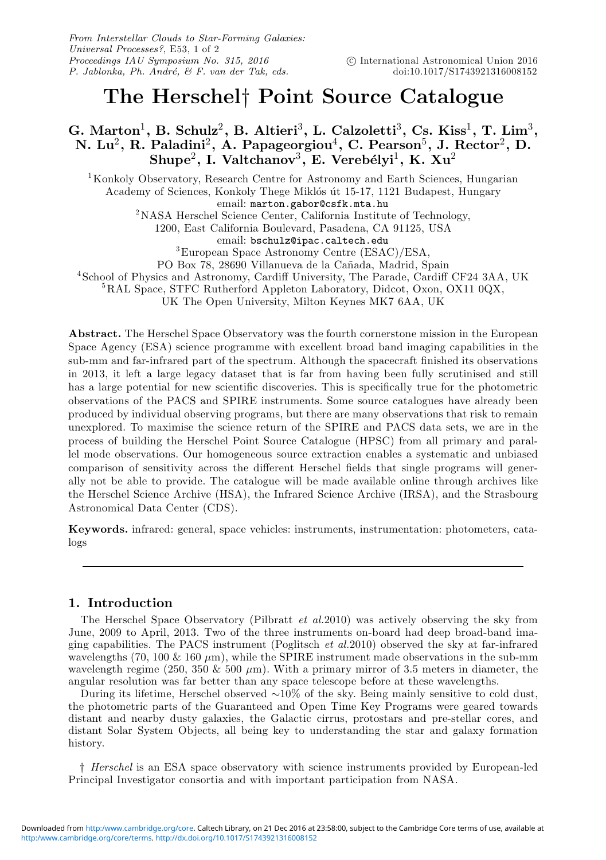# The Herschel† Point Source Catalogue

## G. Marton<sup>1</sup>, B. Schulz<sup>2</sup>, B. Altieri<sup>3</sup>, L. Calzoletti<sup>3</sup>, Cs. Kiss<sup>1</sup>, T. Lim<sup>3</sup>, N. Lu $^2$ , R. Paladini $^2$ , A. Papageorgiou $^4$ , C. Pearson $^5$ , J. Rector $^2$ , D.  $\mathrm{Shupe}^2, \ \mathrm{I. \ Valtchanov}^3, \ \mathrm{E. \ Vereb\'elyi}^1, \ \mathrm{K. \ Xu}^2$

<sup>1</sup>Konkoly Observatory, Research Centre for Astronomy and Earth Sciences, Hungarian Academy of Sciences, Konkoly Thege Miklós út 15-17, 1121 Budapest, Hungary email: marton.gabor@csfk.mta.hu <sup>2</sup>NASA Herschel Science Center, California Institute of Technology, 1200, East California Boulevard, Pasadena, CA 91125, USA email: bschulz@ipac.caltech.edu <sup>3</sup>European Space Astronomy Centre (ESAC)/ESA,

PO Box 78, 28690 Villanueva de la Cañada, Madrid, Spain

4 School of Physics and Astronomy, Cardiff University, The Parade, Cardiff CF24 3AA, UK

<sup>5</sup>RAL Space, STFC Rutherford Appleton Laboratory, Didcot, Oxon, OX11 0QX,

UK The Open University, Milton Keynes MK7 6AA, UK

Abstract. The Herschel Space Observatory was the fourth cornerstone mission in the European Space Agency (ESA) science programme with excellent broad band imaging capabilities in the sub-mm and far-infrared part of the spectrum. Although the spacecraft finished its observations in 2013, it left a large legacy dataset that is far from having been fully scrutinised and still has a large potential for new scientific discoveries. This is specifically true for the photometric observations of the PACS and SPIRE instruments. Some source catalogues have already been produced by individual observing programs, but there are many observations that risk to remain unexplored. To maximise the science return of the SPIRE and PACS data sets, we are in the process of building the Herschel Point Source Catalogue (HPSC) from all primary and parallel mode observations. Our homogeneous source extraction enables a systematic and unbiased comparison of sensitivity across the different Herschel fields that single programs will generally not be able to provide. The catalogue will be made available online through archives like the Herschel Science Archive (HSA), the Infrared Science Archive (IRSA), and the Strasbourg Astronomical Data Center (CDS).

Keywords. infrared: general, space vehicles: instruments, instrumentation: photometers, catalogs

## 1. Introduction

The Herschel Space Observatory (Pilbratt *et al.*2010) was actively observing the sky from June, 2009 to April, 2013. Two of the three instruments on-board had deep broad-band imaging capabilities. The PACS instrument (Poglitsch *et al.*2010) observed the sky at far-infrared wavelengths (70, 100  $\&$  160  $\mu$ m), while the SPIRE instrument made observations in the sub-mm wavelength regime (250, 350  $\&$  500  $\mu$ m). With a primary mirror of 3.5 meters in diameter, the angular resolution was far better than any space telescope before at these wavelengths.

During its lifetime, Herschel observed ∼10% of the sky. Being mainly sensitive to cold dust, the photometric parts of the Guaranteed and Open Time Key Programs were geared towards distant and nearby dusty galaxies, the Galactic cirrus, protostars and pre-stellar cores, and distant Solar System Objects, all being key to understanding the star and galaxy formation history.

† *Herschel* is an ESA space observatory with science instruments provided by European-led Principal Investigator consortia and with important participation from NASA.